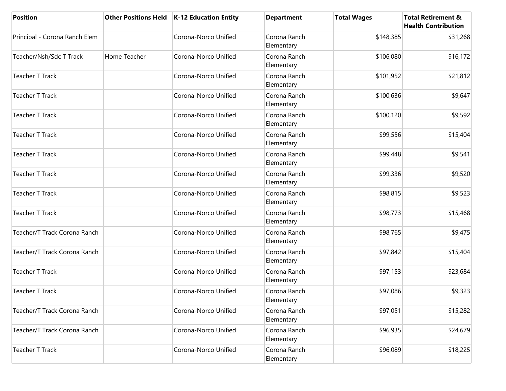| <b>Position</b>               | <b>Other Positions Held</b> | <b>K-12 Education Entity</b> | <b>Department</b>          | <b>Total Wages</b> | <b>Total Retirement &amp;</b><br><b>Health Contribution</b> |
|-------------------------------|-----------------------------|------------------------------|----------------------------|--------------------|-------------------------------------------------------------|
| Principal - Corona Ranch Elem |                             | Corona-Norco Unified         | Corona Ranch<br>Elementary | \$148,385          | \$31,268                                                    |
| Teacher/Nsh/Sdc T Track       | Home Teacher                | Corona-Norco Unified         | Corona Ranch<br>Elementary | \$106,080          | \$16,172                                                    |
| <b>Teacher T Track</b>        |                             | Corona-Norco Unified         | Corona Ranch<br>Elementary | \$101,952          | \$21,812                                                    |
| <b>Teacher T Track</b>        |                             | Corona-Norco Unified         | Corona Ranch<br>Elementary | \$100,636          | \$9,647                                                     |
| <b>Teacher T Track</b>        |                             | Corona-Norco Unified         | Corona Ranch<br>Elementary | \$100,120          | \$9,592                                                     |
| <b>Teacher T Track</b>        |                             | Corona-Norco Unified         | Corona Ranch<br>Elementary | \$99,556           | \$15,404                                                    |
| <b>Teacher T Track</b>        |                             | Corona-Norco Unified         | Corona Ranch<br>Elementary | \$99,448           | \$9,541                                                     |
| Teacher T Track               |                             | Corona-Norco Unified         | Corona Ranch<br>Elementary | \$99,336           | \$9,520                                                     |
| <b>Teacher T Track</b>        |                             | Corona-Norco Unified         | Corona Ranch<br>Elementary | \$98,815           | \$9,523                                                     |
| <b>Teacher T Track</b>        |                             | Corona-Norco Unified         | Corona Ranch<br>Elementary | \$98,773           | \$15,468                                                    |
| Teacher/T Track Corona Ranch  |                             | Corona-Norco Unified         | Corona Ranch<br>Elementary | \$98,765           | \$9,475                                                     |
| Teacher/T Track Corona Ranch  |                             | Corona-Norco Unified         | Corona Ranch<br>Elementary | \$97,842           | \$15,404                                                    |
| <b>Teacher T Track</b>        |                             | Corona-Norco Unified         | Corona Ranch<br>Elementary | \$97,153           | \$23,684                                                    |
| <b>Teacher T Track</b>        |                             | Corona-Norco Unified         | Corona Ranch<br>Elementary | \$97,086           | \$9,323                                                     |
| Teacher/T Track Corona Ranch  |                             | Corona-Norco Unified         | Corona Ranch<br>Elementary | \$97,051           | \$15,282                                                    |
| Teacher/T Track Corona Ranch  |                             | Corona-Norco Unified         | Corona Ranch<br>Elementary | \$96,935           | \$24,679                                                    |
| <b>Teacher T Track</b>        |                             | Corona-Norco Unified         | Corona Ranch<br>Elementary | \$96,089           | \$18,225                                                    |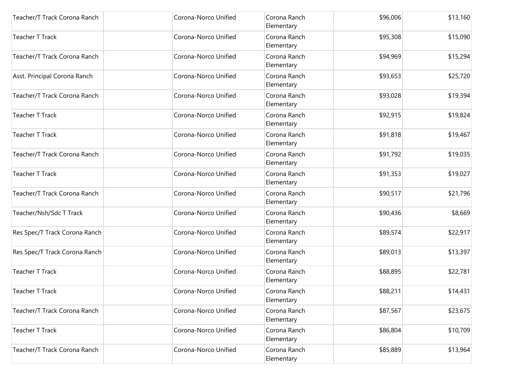| Teacher/T Track Corona Ranch  | Corona-Norco Unified | Corona Ranch<br>Elementary | \$96,006 | \$13,160 |
|-------------------------------|----------------------|----------------------------|----------|----------|
| Teacher T Track               | Corona-Norco Unified | Corona Ranch<br>Elementary | \$95,308 | \$15,090 |
| Teacher/T Track Corona Ranch  | Corona-Norco Unified | Corona Ranch<br>Elementary | \$94,969 | \$15,294 |
| Asst. Principal Corona Ranch  | Corona-Norco Unified | Corona Ranch<br>Elementary | \$93,653 | \$25,720 |
| Teacher/T Track Corona Ranch  | Corona-Norco Unified | Corona Ranch<br>Elementary | \$93,028 | \$19,394 |
| <b>Teacher T Track</b>        | Corona-Norco Unified | Corona Ranch<br>Elementary | \$92,915 | \$19,824 |
| <b>Teacher T Track</b>        | Corona-Norco Unified | Corona Ranch<br>Elementary | \$91,818 | \$19,467 |
| Teacher/T Track Corona Ranch  | Corona-Norco Unified | Corona Ranch<br>Elementary | \$91,792 | \$19,035 |
| <b>Teacher T Track</b>        | Corona-Norco Unified | Corona Ranch<br>Elementary | \$91,353 | \$19,027 |
| Teacher/T Track Corona Ranch  | Corona-Norco Unified | Corona Ranch<br>Elementary | \$90,517 | \$21,796 |
| Teacher/Nsh/Sdc T Track       | Corona-Norco Unified | Corona Ranch<br>Elementary | \$90,436 | \$8,669  |
| Res Spec/T Track Corona Ranch | Corona-Norco Unified | Corona Ranch<br>Elementary | \$89,574 | \$22,917 |
| Res Spec/T Track Corona Ranch | Corona-Norco Unified | Corona Ranch<br>Elementary | \$89,013 | \$13,397 |
| <b>Teacher T Track</b>        | Corona-Norco Unified | Corona Ranch<br>Elementary | \$88,895 | \$22,781 |
| <b>Teacher T Track</b>        | Corona-Norco Unified | Corona Ranch<br>Elementary | \$88,211 | \$14,431 |
| Teacher/T Track Corona Ranch  | Corona-Norco Unified | Corona Ranch<br>Elementary | \$87,567 | \$23,675 |
| Teacher T Track               | Corona-Norco Unified | Corona Ranch<br>Elementary | \$86,804 | \$10,709 |
| Teacher/T Track Corona Ranch  | Corona-Norco Unified | Corona Ranch<br>Elementary | \$85,889 | \$13,964 |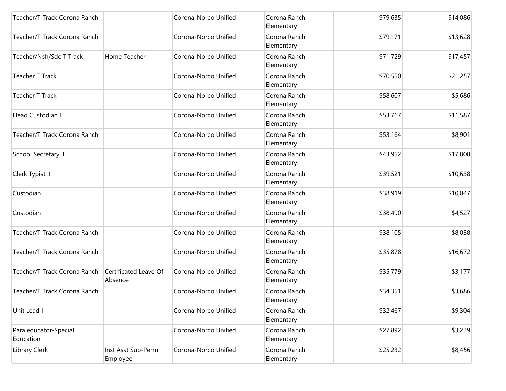| Teacher/T Track Corona Ranch       |                                  | Corona-Norco Unified | Corona Ranch<br>Elementary | \$79,635 | \$14,086 |
|------------------------------------|----------------------------------|----------------------|----------------------------|----------|----------|
| Teacher/T Track Corona Ranch       |                                  | Corona-Norco Unified | Corona Ranch<br>Elementary | \$79,171 | \$13,628 |
| Teacher/Nsh/Sdc T Track            | Home Teacher                     | Corona-Norco Unified | Corona Ranch<br>Elementary | \$71,729 | \$17,457 |
| <b>Teacher T Track</b>             |                                  | Corona-Norco Unified | Corona Ranch<br>Elementary | \$70,550 | \$21,257 |
| <b>Teacher T Track</b>             |                                  | Corona-Norco Unified | Corona Ranch<br>Elementary | \$58,607 | \$5,686  |
| Head Custodian I                   |                                  | Corona-Norco Unified | Corona Ranch<br>Elementary | \$53,767 | \$11,587 |
| Teacher/T Track Corona Ranch       |                                  | Corona-Norco Unified | Corona Ranch<br>Elementary | \$53,164 | \$8,901  |
| School Secretary II                |                                  | Corona-Norco Unified | Corona Ranch<br>Elementary | \$43,952 | \$17,808 |
| Clerk Typist II                    |                                  | Corona-Norco Unified | Corona Ranch<br>Elementary | \$39,521 | \$10,638 |
| Custodian                          |                                  | Corona-Norco Unified | Corona Ranch<br>Elementary | \$38,919 | \$10,047 |
| Custodian                          |                                  | Corona-Norco Unified | Corona Ranch<br>Elementary | \$38,490 | \$4,527  |
| Teacher/T Track Corona Ranch       |                                  | Corona-Norco Unified | Corona Ranch<br>Elementary | \$38,105 | \$8,038  |
| Teacher/T Track Corona Ranch       |                                  | Corona-Norco Unified | Corona Ranch<br>Elementary | \$35,878 | \$16,672 |
| Teacher/T Track Corona Ranch       | Certificated Leave Of<br>Absence | Corona-Norco Unified | Corona Ranch<br>Elementary | \$35,779 | \$3,177  |
| Teacher/T Track Corona Ranch       |                                  | Corona-Norco Unified | Corona Ranch<br>Elementary | \$34,351 | \$3,686  |
| Unit Lead I                        |                                  | Corona-Norco Unified | Corona Ranch<br>Elementary | \$32,467 | \$9,304  |
| Para educator-Special<br>Education |                                  | Corona-Norco Unified | Corona Ranch<br>Elementary | \$27,892 | \$3,239  |
| Library Clerk                      | Inst Asst Sub-Perm<br>Employee   | Corona-Norco Unified | Corona Ranch<br>Elementary | \$25,232 | \$8,456  |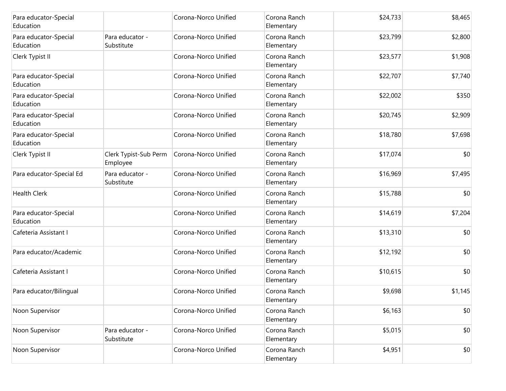| Para educator-Special<br>Education |                                   | Corona-Norco Unified | Corona Ranch<br>Elementary | \$24,733 | \$8,465 |
|------------------------------------|-----------------------------------|----------------------|----------------------------|----------|---------|
| Para educator-Special<br>Education | Para educator -<br>Substitute     | Corona-Norco Unified | Corona Ranch<br>Elementary | \$23,799 | \$2,800 |
| Clerk Typist II                    |                                   | Corona-Norco Unified | Corona Ranch<br>Elementary | \$23,577 | \$1,908 |
| Para educator-Special<br>Education |                                   | Corona-Norco Unified | Corona Ranch<br>Elementary | \$22,707 | \$7,740 |
| Para educator-Special<br>Education |                                   | Corona-Norco Unified | Corona Ranch<br>Elementary | \$22,002 | \$350   |
| Para educator-Special<br>Education |                                   | Corona-Norco Unified | Corona Ranch<br>Elementary | \$20,745 | \$2,909 |
| Para educator-Special<br>Education |                                   | Corona-Norco Unified | Corona Ranch<br>Elementary | \$18,780 | \$7,698 |
| Clerk Typist II                    | Clerk Typist-Sub Perm<br>Employee | Corona-Norco Unified | Corona Ranch<br>Elementary | \$17,074 | \$0     |
| Para educator-Special Ed           | Para educator -<br>Substitute     | Corona-Norco Unified | Corona Ranch<br>Elementary | \$16,969 | \$7,495 |
| <b>Health Clerk</b>                |                                   | Corona-Norco Unified | Corona Ranch<br>Elementary | \$15,788 | \$0     |
| Para educator-Special<br>Education |                                   | Corona-Norco Unified | Corona Ranch<br>Elementary | \$14,619 | \$7,204 |
| Cafeteria Assistant I              |                                   | Corona-Norco Unified | Corona Ranch<br>Elementary | \$13,310 | \$0     |
| Para educator/Academic             |                                   | Corona-Norco Unified | Corona Ranch<br>Elementary | \$12,192 | \$0     |
| Cafeteria Assistant I              |                                   | Corona-Norco Unified | Corona Ranch<br>Elementary | \$10,615 | \$0     |
| Para educator/Bilingual            |                                   | Corona-Norco Unified | Corona Ranch<br>Elementary | \$9,698  | \$1,145 |
| Noon Supervisor                    |                                   | Corona-Norco Unified | Corona Ranch<br>Elementary | \$6,163  | \$0     |
| Noon Supervisor                    | Para educator -<br>Substitute     | Corona-Norco Unified | Corona Ranch<br>Elementary | \$5,015  | \$0     |
| Noon Supervisor                    |                                   | Corona-Norco Unified | Corona Ranch<br>Elementary | \$4,951  | \$0     |